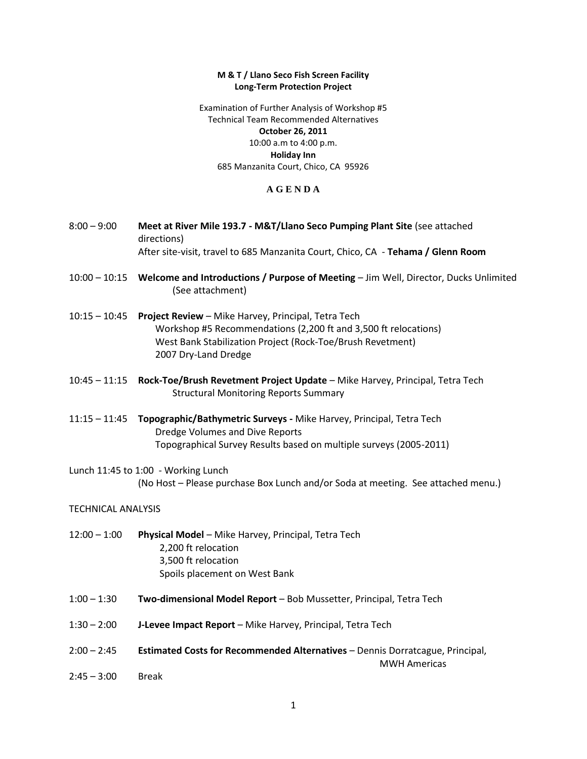#### **M & T / Llano Seco Fish Screen Facility Long-Term Protection Project**

Examination of Further Analysis of Workshop #5 Technical Team Recommended Alternatives **October 26, 2011** 10:00 a.m to 4:00 p.m. **Holiday Inn** 685 Manzanita Court, Chico, CA 95926

## **A G E N D A**

- 8:00 9:00 **Meet at River Mile 193.7 - M&T/Llano Seco Pumping Plant Site** (see attached directions) After site-visit, travel to 685 Manzanita Court, Chico, CA - **Tehama / Glenn Room**
- 10:00 10:15 **Welcome and Introductions / Purpose of Meeting** Jim Well, Director, Ducks Unlimited (See attachment)
- 10:15 10:45 **Project Review** Mike Harvey, Principal, Tetra Tech Workshop #5 Recommendations (2,200 ft and 3,500 ft relocations) West Bank Stabilization Project (Rock-Toe/Brush Revetment) 2007 Dry-Land Dredge
- 10:45 11:15 **Rock-Toe/Brush Revetment Project Update** Mike Harvey, Principal, Tetra Tech Structural Monitoring Reports Summary
- 11:15 11:45 **Topographic/Bathymetric Surveys -** Mike Harvey, Principal, Tetra Tech Dredge Volumes and Dive Reports Topographical Survey Results based on multiple surveys (2005-2011)
- Lunch 11:45 to 1:00 Working Lunch (No Host – Please purchase Box Lunch and/or Soda at meeting. See attached menu.)

## TECHNICAL ANALYSIS

- 12:00 1:00 **Physical Model** Mike Harvey, Principal, Tetra Tech 2,200 ft relocation 3,500 ft relocation Spoils placement on West Bank
- 1:00 1:30 **Two-dimensional Model Report** Bob Mussetter, Principal, Tetra Tech
- 1:30 2:00 **J-Levee Impact Report** Mike Harvey, Principal, Tetra Tech
- 2:00 2:45 **Estimated Costs for Recommended Alternatives** Dennis Dorratcague, Principal, MWH Americas
- 2:45 3:00 Break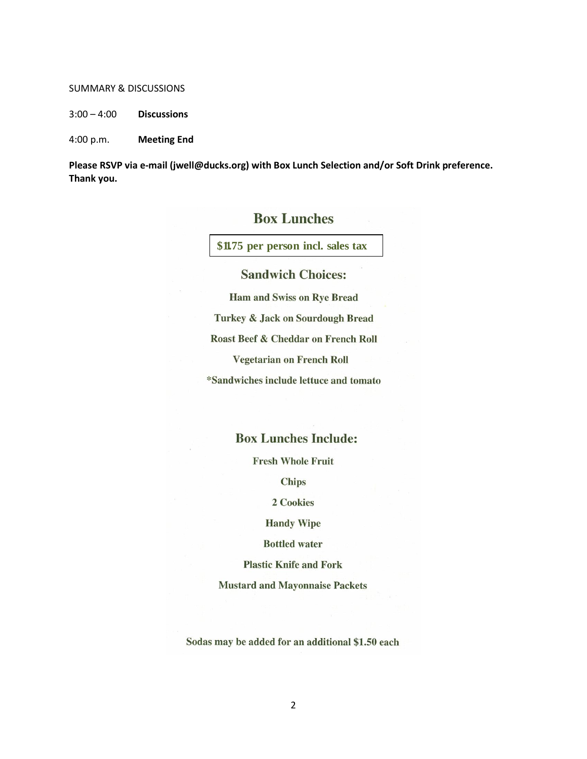#### SUMMARY & DISCUSSIONS

3:00 – 4:00 **Discussions**

4:00 p.m. **Meeting End**

**Please RSVP via e-mail (jwell@ducks.org) with Box Lunch Selection and/or Soft Drink preference. Thank you.**

# **Box Lunches**

**\$11.75 per person incl. sales tax**

# **Sandwich Choices:**

**Ham and Swiss on Rye Bread** Turkey & Jack on Sourdough Bread Roast Beef & Cheddar on French Roll **Vegetarian on French Roll** \*Sandwiches include lettuce and tomato

# **Box Lunches Include:**

**Fresh Whole Fruit** 

**Chips** 

2 Cookies

**Handy Wipe** 

**Bottled** water

**Plastic Knife and Fork** 

**Mustard and Mayonnaise Packets** 

Sodas may be added for an additional \$1.50 each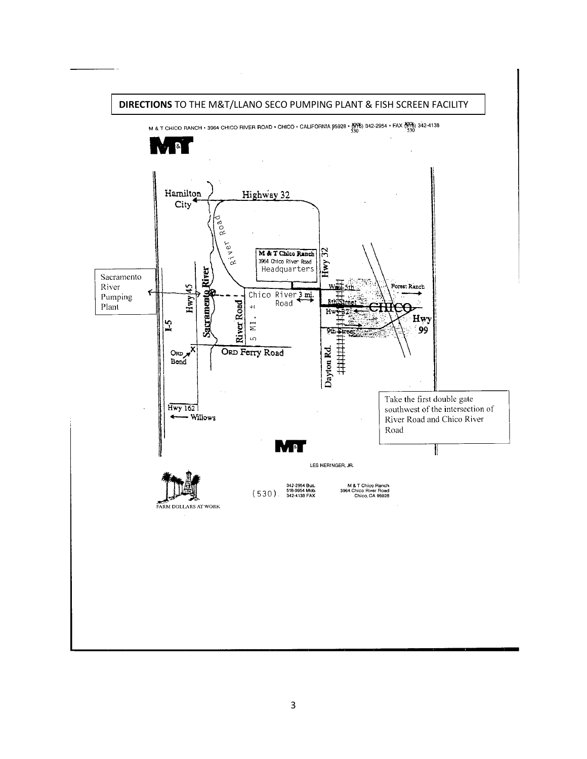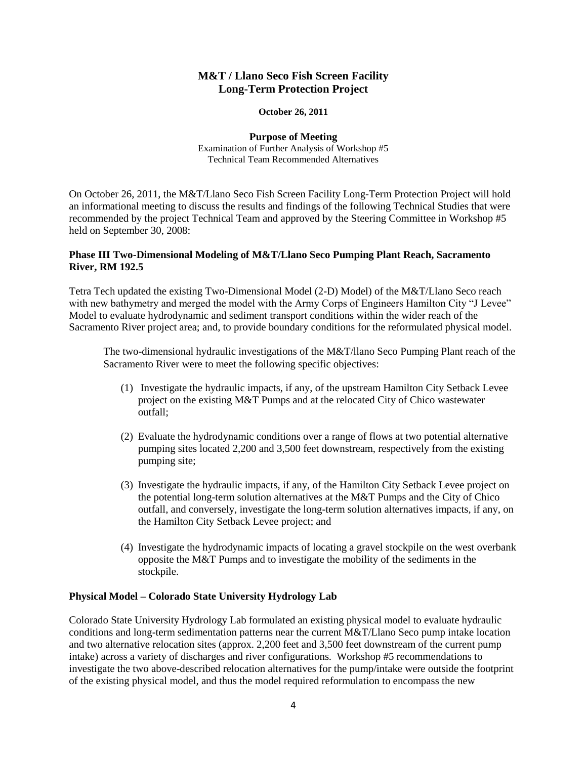## **M&T / Llano Seco Fish Screen Facility Long-Term Protection Project**

#### **October 26, 2011**

**Purpose of Meeting** Examination of Further Analysis of Workshop #5 Technical Team Recommended Alternatives

On October 26, 2011, the M&T/Llano Seco Fish Screen Facility Long-Term Protection Project will hold an informational meeting to discuss the results and findings of the following Technical Studies that were recommended by the project Technical Team and approved by the Steering Committee in Workshop #5 held on September 30, 2008:

## **Phase III Two-Dimensional Modeling of M&T/Llano Seco Pumping Plant Reach, Sacramento River, RM 192.5**

Tetra Tech updated the existing Two-Dimensional Model (2-D) Model) of the M&T/Llano Seco reach with new bathymetry and merged the model with the Army Corps of Engineers Hamilton City "J Levee" Model to evaluate hydrodynamic and sediment transport conditions within the wider reach of the Sacramento River project area; and, to provide boundary conditions for the reformulated physical model.

The two-dimensional hydraulic investigations of the M&T/llano Seco Pumping Plant reach of the Sacramento River were to meet the following specific objectives:

- (1) Investigate the hydraulic impacts, if any, of the upstream Hamilton City Setback Levee project on the existing M&T Pumps and at the relocated City of Chico wastewater outfall;
- (2) Evaluate the hydrodynamic conditions over a range of flows at two potential alternative pumping sites located 2,200 and 3,500 feet downstream, respectively from the existing pumping site;
- (3) Investigate the hydraulic impacts, if any, of the Hamilton City Setback Levee project on the potential long-term solution alternatives at the M&T Pumps and the City of Chico outfall, and conversely, investigate the long-term solution alternatives impacts, if any, on the Hamilton City Setback Levee project; and
- (4) Investigate the hydrodynamic impacts of locating a gravel stockpile on the west overbank opposite the M&T Pumps and to investigate the mobility of the sediments in the stockpile.

## **Physical Model – Colorado State University Hydrology Lab**

Colorado State University Hydrology Lab formulated an existing physical model to evaluate hydraulic conditions and long-term sedimentation patterns near the current M&T/Llano Seco pump intake location and two alternative relocation sites (approx. 2,200 feet and 3,500 feet downstream of the current pump intake) across a variety of discharges and river configurations. Workshop #5 recommendations to investigate the two above-described relocation alternatives for the pump/intake were outside the footprint of the existing physical model, and thus the model required reformulation to encompass the new